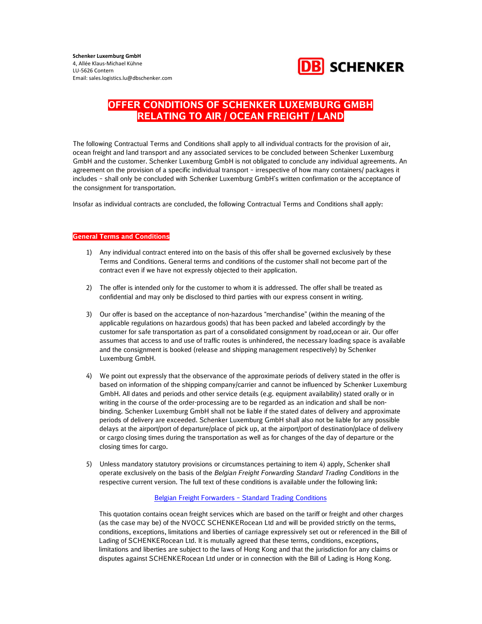

The following Contractual Terms and Conditions shall apply to all individual contracts for the provision of air, ocean freight and land transport and any associated services to be concluded between Schenker Luxemburg GmbH and the customer. Schenker Luxemburg GmbH is not obligated to conclude any individual agreements. An agreement on the provision of a specific individual transport – irrespective of how many containers/ packages it includes – shall only be concluded with Schenker Luxemburg GmbH's written confirmation or the acceptance of the consignment for transportation.

Insofar as individual contracts are concluded, the following Contractual Terms and Conditions shall apply:

#### General Terms and Conditions

- 1) Any individual contract entered into on the basis of this offer shall be governed exclusively by these Terms and Conditions. General terms and conditions of the customer shall not become part of the contract even if we have not expressly objected to their application.
- 2) The offer is intended only for the customer to whom it is addressed. The offer shall be treated as confidential and may only be disclosed to third parties with our express consent in writing.
- 3) Our offer is based on the acceptance of non-hazardous "merchandise" (within the meaning of the applicable regulations on hazardous goods) that has been packed and labeled accordingly by the customer for safe transportation as part of a consolidated consignment by road,ocean or air. Our offer assumes that access to and use of traffic routes is unhindered, the necessary loading space is available and the consignment is booked (release and shipping management respectively) by Schenker Luxemburg GmbH.
- 4) We point out expressly that the observance of the approximate periods of delivery stated in the offer is based on information of the shipping company/carrier and cannot be influenced by Schenker Luxemburg GmbH. All dates and periods and other service details (e.g. equipment availability) stated orally or in writing in the course of the order-processing are to be regarded as an indication and shall be nonbinding. Schenker Luxemburg GmbH shall not be liable if the stated dates of delivery and approximate periods of delivery are exceeded. Schenker Luxemburg GmbH shall also not be liable for any possible delays at the airport/port of departure/place of pick up, at the airport/port of destination/place of delivery or cargo closing times during the transportation as well as for changes of the day of departure or the closing times for cargo.
- 5) Unless mandatory statutory provisions or circumstances pertaining to item 4) apply, Schenker shall operate exclusively on the basis of the Belgian Freight Forwarding Standard Trading Conditions in the respective current version. The full text of these conditions is available under the following link:

#### Belgian Freight Forwarders – Standard Trading Conditions

This quotation contains ocean freight services which are based on the tariff or freight and other charges (as the case may be) of the NVOCC SCHENKERocean Ltd and will be provided strictly on the terms, conditions, exceptions, limitations and liberties of carriage expressively set out or referenced in the Bill of Lading of SCHENKERocean Ltd. It is mutually agreed that these terms, conditions, exceptions, limitations and liberties are subject to the laws of Hong Kong and that the jurisdiction for any claims or disputes against SCHENKERocean Ltd under or in connection with the Bill of Lading is Hong Kong.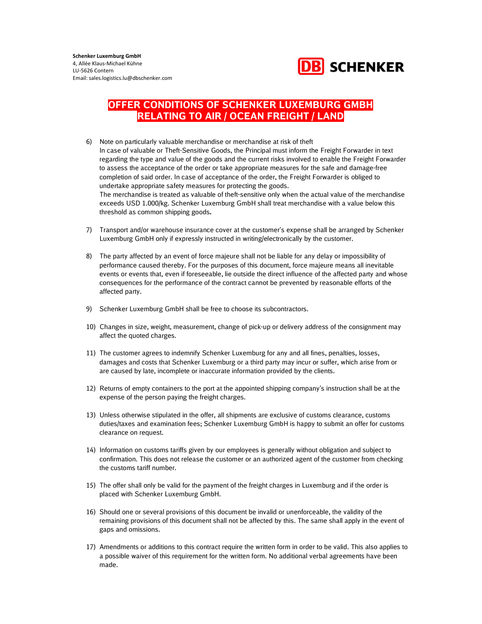

- 6) Note on particularly valuable merchandise or merchandise at risk of theft In case of valuable or Theft-Sensitive Goods, the Principal must inform the Freight Forwarder in text regarding the type and value of the goods and the current risks involved to enable the Freight Forwarder to assess the acceptance of the order or take appropriate measures for the safe and damage-free completion of said order. In case of acceptance of the order, the Freight Forwarder is obliged to undertake appropriate safety measures for protecting the goods. The merchandise is treated as valuable of theft-sensitive only when the actual value of the merchandise exceeds USD 1.000/kg. Schenker Luxemburg GmbH shall treat merchandise with a value below this threshold as common shipping goods.
- 7) Transport and/or warehouse insurance cover at the customer's expense shall be arranged by Schenker Luxemburg GmbH only if expressly instructed in writing/electronically by the customer.
- 8) The party affected by an event of force majeure shall not be liable for any delay or impossibility of performance caused thereby. For the purposes of this document, force majeure means all inevitable events or events that, even if foreseeable, lie outside the direct influence of the affected party and whose consequences for the performance of the contract cannot be prevented by reasonable efforts of the affected party.
- 9) Schenker Luxemburg GmbH shall be free to choose its subcontractors.
- 10) Changes in size, weight, measurement, change of pick-up or delivery address of the consignment may affect the quoted charges.
- 11) The customer agrees to indemnify Schenker Luxemburg for any and all fines, penalties, losses, damages and costs that Schenker Luxemburg or a third party may incur or suffer, which arise from or are caused by late, incomplete or inaccurate information provided by the clients.
- 12) Returns of empty containers to the port at the appointed shipping company's instruction shall be at the expense of the person paying the freight charges.
- 13) Unless otherwise stipulated in the offer, all shipments are exclusive of customs clearance, customs duties/taxes and examination fees; Schenker Luxemburg GmbH is happy to submit an offer for customs clearance on request.
- 14) Information on customs tariffs given by our employees is generally without obligation and subject to confirmation. This does not release the customer or an authorized agent of the customer from checking the customs tariff number.
- 15) The offer shall only be valid for the payment of the freight charges in Luxemburg and if the order is placed with Schenker Luxemburg GmbH.
- 16) Should one or several provisions of this document be invalid or unenforceable, the validity of the remaining provisions of this document shall not be affected by this. The same shall apply in the event of gaps and omissions.
- 17) Amendments or additions to this contract require the written form in order to be valid. This also applies to a possible waiver of this requirement for the written form. No additional verbal agreements have been made.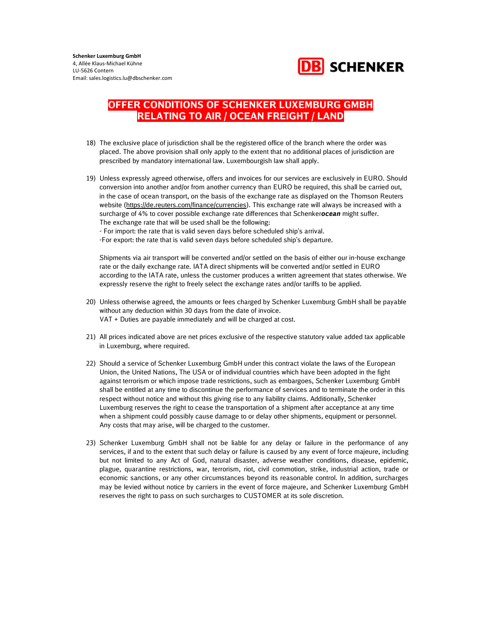

- 18) The exclusive place of jurisdiction shall be the registered office of the branch where the order was placed. The above provision shall only apply to the extent that no additional places of jurisdiction are prescribed by mandatory international law. Luxembourgish law shall apply.
- 19) Unless expressly agreed otherwise, offers and invoices for our services are exclusively in EURO. Should conversion into another and/or from another currency than EURO be required, this shall be carried out, in the case of ocean transport, on the basis of the exchange rate as displayed on the Thomson Reuters website (https://de.reuters.com/finance/currencies). This exchange rate will always be increased with a surcharge of 4% to cover possible exchange rate differences that Schenkerocean might suffer. The exchange rate that will be used shall be the following:

- For import: the rate that is valid seven days before scheduled ship's arrival.

-For export: the rate that is valid seven days before scheduled ship's departure.

Shipments via air transport will be converted and/or settled on the basis of either our in-house exchange rate or the daily exchange rate. IATA direct shipments will be converted and/or settled in EURO according to the IATA rate, unless the customer produces a written agreement that states otherwise. We expressly reserve the right to freely select the exchange rates and/or tariffs to be applied.

- 20) Unless otherwise agreed, the amounts or fees charged by Schenker Luxemburg GmbH shall be payable without any deduction within 30 days from the date of invoice. VAT + Duties are payable immediately and will be charged at cost.
- 21) All prices indicated above are net prices exclusive of the respective statutory value added tax applicable in Luxemburg, where required.
- 22) Should a service of Schenker Luxemburg GmbH under this contract violate the laws of the European Union, the United Nations, The USA or of individual countries which have been adopted in the fight against terrorism or which impose trade restrictions, such as embargoes, Schenker Luxemburg GmbH shall be entitled at any time to discontinue the performance of services and to terminate the order in this respect without notice and without this giving rise to any liability claims. Additionally, Schenker Luxemburg reserves the right to cease the transportation of a shipment after acceptance at any time when a shipment could possibly cause damage to or delay other shipments, equipment or personnel. Any costs that may arise, will be charged to the customer.
- 23) Schenker Luxemburg GmbH shall not be liable for any delay or failure in the performance of any services, if and to the extent that such delay or failure is caused by any event of force majeure, including but not limited to any Act of God, natural disaster, adverse weather conditions, disease, epidemic, plague, quarantine restrictions, war, terrorism, riot, civil commotion, strike, industrial action, trade or economic sanctions, or any other circumstances beyond its reasonable control. In addition, surcharges may be levied without notice by carriers in the event of force majeure, and Schenker Luxemburg GmbH reserves the right to pass on such surcharges to CUSTOMER at its sole discretion.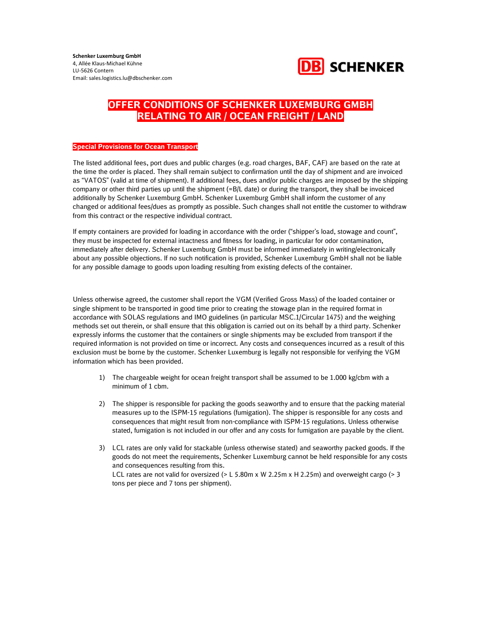

#### Special Provisions for Ocean Transport

The listed additional fees, port dues and public charges (e.g. road charges, BAF, CAF) are based on the rate at the time the order is placed. They shall remain subject to confirmation until the day of shipment and are invoiced as "VATOS" (valid at time of shipment). If additional fees, dues and/or public charges are imposed by the shipping company or other third parties up until the shipment (=B/L date) or during the transport, they shall be invoiced additionally by Schenker Luxemburg GmbH. Schenker Luxemburg GmbH shall inform the customer of any changed or additional fees/dues as promptly as possible. Such changes shall not entitle the customer to withdraw from this contract or the respective individual contract.

If empty containers are provided for loading in accordance with the order ("shipper's load, stowage and count", they must be inspected for external intactness and fitness for loading, in particular for odor contamination, immediately after delivery. Schenker Luxemburg GmbH must be informed immediately in writing/electronically about any possible objections. If no such notification is provided, Schenker Luxemburg GmbH shall not be liable for any possible damage to goods upon loading resulting from existing defects of the container.

Unless otherwise agreed, the customer shall report the VGM (Verified Gross Mass) of the loaded container or single shipment to be transported in good time prior to creating the stowage plan in the required format in accordance with SOLAS regulations and IMO guidelines (in particular MSC.1/Circular 1475) and the weighing methods set out therein, or shall ensure that this obligation is carried out on its behalf by a third party. Schenker expressly informs the customer that the containers or single shipments may be excluded from transport if the required information is not provided on time or incorrect. Any costs and consequences incurred as a result of this exclusion must be borne by the customer. Schenker Luxemburg is legally not responsible for verifying the VGM information which has been provided.

- 1) The chargeable weight for ocean freight transport shall be assumed to be 1.000 kg/cbm with a minimum of 1 cbm.
- 2) The shipper is responsible for packing the goods seaworthy and to ensure that the packing material measures up to the ISPM-15 regulations (fumigation). The shipper is responsible for any costs and consequences that might result from non-compliance with ISPM-15 regulations. Unless otherwise stated, fumigation is not included in our offer and any costs for fumigation are payable by the client.
- 3) LCL rates are only valid for stackable (unless otherwise stated) and seaworthy packed goods. If the goods do not meet the requirements, Schenker Luxemburg cannot be held responsible for any costs and consequences resulting from this. LCL rates are not valid for oversized ( $> L 5.80$ m x W 2.25m x H 2.25m) and overweight cargo ( $> 3$ tons per piece and 7 tons per shipment).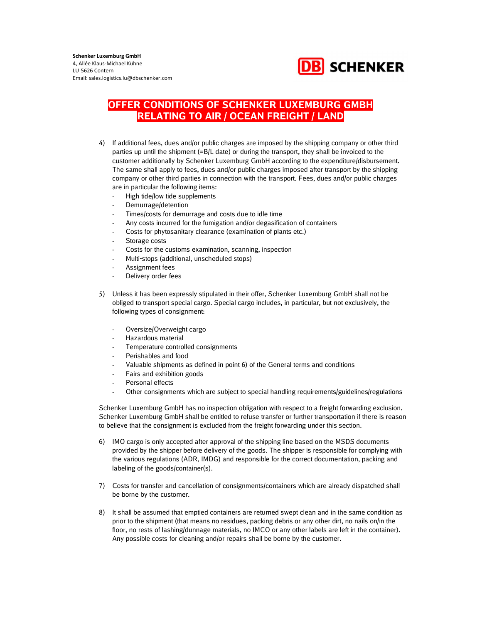

- 4) If additional fees, dues and/or public charges are imposed by the shipping company or other third parties up until the shipment (=B/L date) or during the transport, they shall be invoiced to the customer additionally by Schenker Luxemburg GmbH according to the expenditure/disbursement. The same shall apply to fees, dues and/or public charges imposed after transport by the shipping company or other third parties in connection with the transport. Fees, dues and/or public charges are in particular the following items:
	- High tide/low tide supplements
	- Demurrage/detention
	- Times/costs for demurrage and costs due to idle time
	- Any costs incurred for the fumigation and/or degasification of containers
	- Costs for phytosanitary clearance (examination of plants etc.)
	- Storage costs
	- Costs for the customs examination, scanning, inspection
	- Multi-stops (additional, unscheduled stops)
	- Assignment fees
	- Delivery order fees
- 5) Unless it has been expressly stipulated in their offer, Schenker Luxemburg GmbH shall not be obliged to transport special cargo. Special cargo includes, in particular, but not exclusively, the following types of consignment:
	- Oversize/Overweight cargo
	- Hazardous material
	- Temperature controlled consignments
	- Perishables and food
	- Valuable shipments as defined in point 6) of the General terms and conditions
	- Fairs and exhibition goods
	- Personal effects
	- Other consignments which are subject to special handling requirements/guidelines/regulations

Schenker Luxemburg GmbH has no inspection obligation with respect to a freight forwarding exclusion. Schenker Luxemburg GmbH shall be entitled to refuse transfer or further transportation if there is reason to believe that the consignment is excluded from the freight forwarding under this section.

- 6) IMO cargo is only accepted after approval of the shipping line based on the MSDS documents provided by the shipper before delivery of the goods. The shipper is responsible for complying with the various regulations (ADR, IMDG) and responsible for the correct documentation, packing and labeling of the goods/container(s).
- 7) Costs for transfer and cancellation of consignments/containers which are already dispatched shall be borne by the customer.
- 8) It shall be assumed that emptied containers are returned swept clean and in the same condition as prior to the shipment (that means no residues, packing debris or any other dirt, no nails on/in the floor, no rests of lashing/dunnage materials, no IMCO or any other labels are left in the container). Any possible costs for cleaning and/or repairs shall be borne by the customer.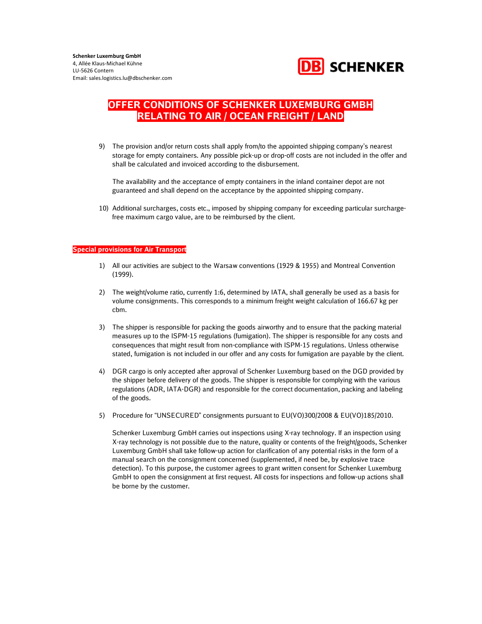

9) The provision and/or return costs shall apply from/to the appointed shipping company's nearest storage for empty containers. Any possible pick-up or drop-off costs are not included in the offer and shall be calculated and invoiced according to the disbursement.

The availability and the acceptance of empty containers in the inland container depot are not guaranteed and shall depend on the acceptance by the appointed shipping company.

10) Additional surcharges, costs etc., imposed by shipping company for exceeding particular surchargefree maximum cargo value, are to be reimbursed by the client.

#### Special provisions for Air Transport

- 1) All our activities are subject to the Warsaw conventions (1929 & 1955) and Montreal Convention (1999).
- 2) The weight/volume ratio, currently 1:6, determined by IATA, shall generally be used as a basis for volume consignments. This corresponds to a minimum freight weight calculation of 166.67 kg per cbm.
- 3) The shipper is responsible for packing the goods airworthy and to ensure that the packing material measures up to the ISPM-15 regulations (fumigation). The shipper is responsible for any costs and consequences that might result from non-compliance with ISPM-15 regulations. Unless otherwise stated, fumigation is not included in our offer and any costs for fumigation are payable by the client.
- 4) DGR cargo is only accepted after approval of Schenker Luxemburg based on the DGD provided by the shipper before delivery of the goods. The shipper is responsible for complying with the various regulations (ADR, IATA-DGR) and responsible for the correct documentation, packing and labeling of the goods.
- 5) Procedure for "UNSECURED" consignments pursuant to EU(VO)300/2008 & EU(VO)185/2010.

Schenker Luxemburg GmbH carries out inspections using X-ray technology. If an inspection using X-ray technology is not possible due to the nature, quality or contents of the freight/goods, Schenker Luxemburg GmbH shall take follow-up action for clarification of any potential risks in the form of a manual search on the consignment concerned (supplemented, if need be, by explosive trace detection). To this purpose, the customer agrees to grant written consent for Schenker Luxemburg GmbH to open the consignment at first request. All costs for inspections and follow-up actions shall be borne by the customer.